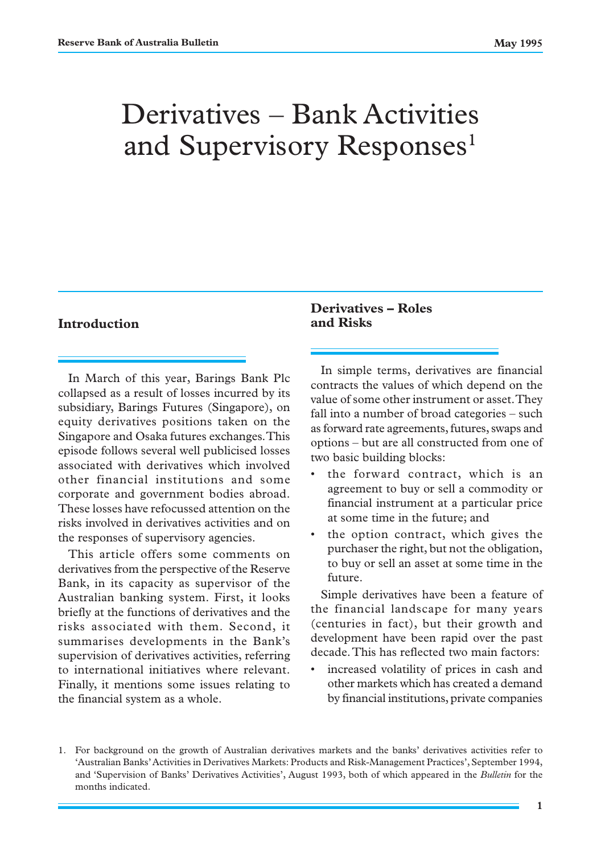# Derivatives – Bank Activities and Supervisory Responses<sup>1</sup>

### **Introduction**

In March of this year, Barings Bank Plc collapsed as a result of losses incurred by its subsidiary, Barings Futures (Singapore), on equity derivatives positions taken on the Singapore and Osaka futures exchanges. This episode follows several well publicised losses associated with derivatives which involved other financial institutions and some corporate and government bodies abroad. These losses have refocussed attention on the risks involved in derivatives activities and on the responses of supervisory agencies.

This article offers some comments on derivatives from the perspective of the Reserve Bank, in its capacity as supervisor of the Australian banking system. First, it looks briefly at the functions of derivatives and the risks associated with them. Second, it summarises developments in the Bank's supervision of derivatives activities, referring to international initiatives where relevant. Finally, it mentions some issues relating to the financial system as a whole.

# **Derivatives – Roles and Risks**

In simple terms, derivatives are financial contracts the values of which depend on the value of some other instrument or asset. They fall into a number of broad categories – such as forward rate agreements, futures, swaps and options – but are all constructed from one of two basic building blocks:

- the forward contract, which is an agreement to buy or sell a commodity or financial instrument at a particular price at some time in the future; and
- the option contract, which gives the purchaser the right, but not the obligation, to buy or sell an asset at some time in the future.

Simple derivatives have been a feature of the financial landscape for many years (centuries in fact), but their growth and development have been rapid over the past decade. This has reflected two main factors:

increased volatility of prices in cash and other markets which has created a demand by financial institutions, private companies

<sup>1.</sup> For background on the growth of Australian derivatives markets and the banks' derivatives activities refer to 'Australian Banks' Activities in Derivatives Markets: Products and Risk-Management Practices', September 1994, and 'Supervision of Banks' Derivatives Activities', August 1993, both of which appeared in the *Bulletin* for the months indicated.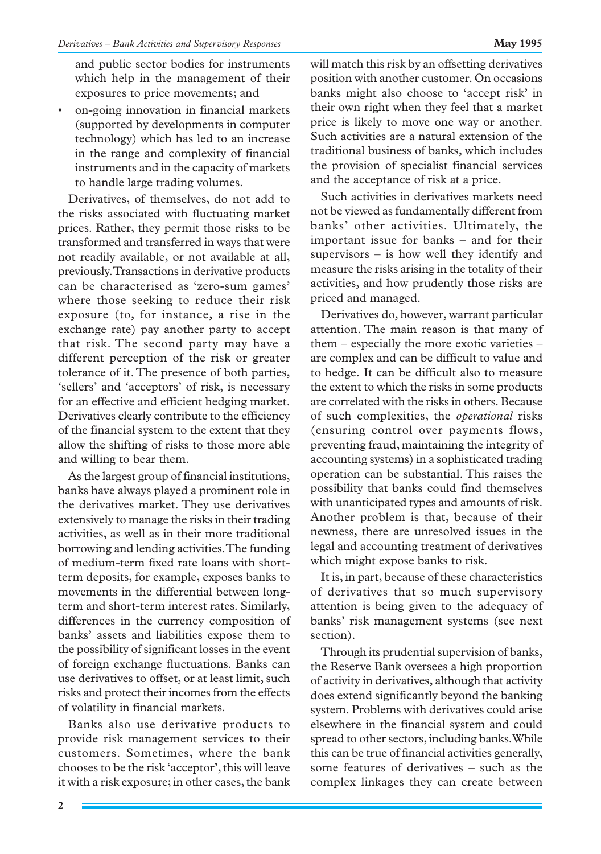and public sector bodies for instruments which help in the management of their exposures to price movements; and

• on-going innovation in financial markets (supported by developments in computer technology) which has led to an increase in the range and complexity of financial instruments and in the capacity of markets to handle large trading volumes.

Derivatives, of themselves, do not add to the risks associated with fluctuating market prices. Rather, they permit those risks to be transformed and transferred in ways that were not readily available, or not available at all, previously. Transactions in derivative products can be characterised as 'zero-sum games' where those seeking to reduce their risk exposure (to, for instance, a rise in the exchange rate) pay another party to accept that risk. The second party may have a different perception of the risk or greater tolerance of it. The presence of both parties, 'sellers' and 'acceptors' of risk, is necessary for an effective and efficient hedging market. Derivatives clearly contribute to the efficiency of the financial system to the extent that they allow the shifting of risks to those more able and willing to bear them.

As the largest group of financial institutions, banks have always played a prominent role in the derivatives market. They use derivatives extensively to manage the risks in their trading activities, as well as in their more traditional borrowing and lending activities. The funding of medium-term fixed rate loans with shortterm deposits, for example, exposes banks to movements in the differential between longterm and short-term interest rates. Similarly, differences in the currency composition of banks' assets and liabilities expose them to the possibility of significant losses in the event of foreign exchange fluctuations. Banks can use derivatives to offset, or at least limit, such risks and protect their incomes from the effects of volatility in financial markets.

Banks also use derivative products to provide risk management services to their customers. Sometimes, where the bank chooses to be the risk 'acceptor', this will leave it with a risk exposure; in other cases, the bank will match this risk by an offsetting derivatives position with another customer. On occasions banks might also choose to 'accept risk' in their own right when they feel that a market price is likely to move one way or another. Such activities are a natural extension of the traditional business of banks, which includes the provision of specialist financial services and the acceptance of risk at a price.

Such activities in derivatives markets need not be viewed as fundamentally different from banks' other activities. Ultimately, the important issue for banks – and for their supervisors – is how well they identify and measure the risks arising in the totality of their activities, and how prudently those risks are priced and managed.

Derivatives do, however, warrant particular attention. The main reason is that many of them – especially the more exotic varieties – are complex and can be difficult to value and to hedge. It can be difficult also to measure the extent to which the risks in some products are correlated with the risks in others. Because of such complexities, the *operational* risks (ensuring control over payments flows, preventing fraud, maintaining the integrity of accounting systems) in a sophisticated trading operation can be substantial. This raises the possibility that banks could find themselves with unanticipated types and amounts of risk. Another problem is that, because of their newness, there are unresolved issues in the legal and accounting treatment of derivatives which might expose banks to risk.

It is, in part, because of these characteristics of derivatives that so much supervisory attention is being given to the adequacy of banks' risk management systems (see next section).

Through its prudential supervision of banks, the Reserve Bank oversees a high proportion of activity in derivatives, although that activity does extend significantly beyond the banking system. Problems with derivatives could arise elsewhere in the financial system and could spread to other sectors, including banks. While this can be true of financial activities generally, some features of derivatives – such as the complex linkages they can create between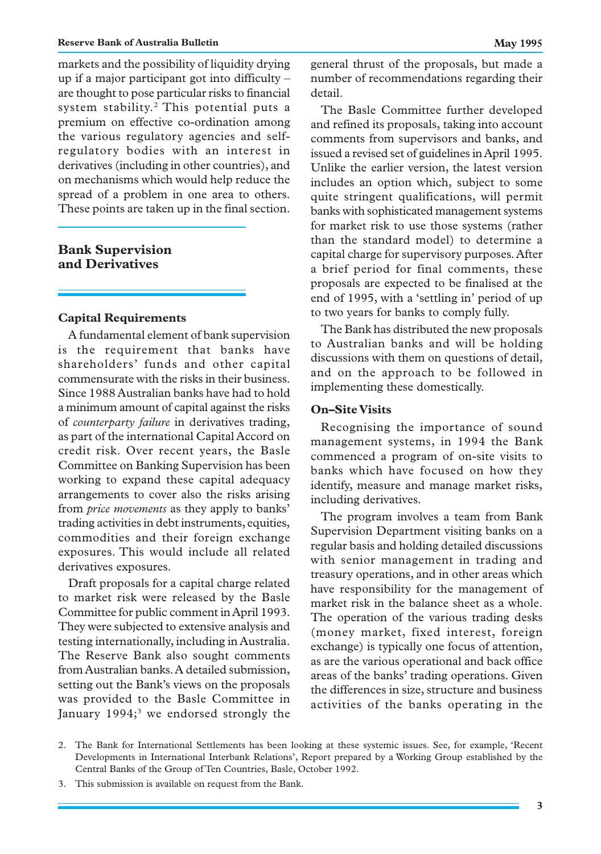markets and the possibility of liquidity drying up if a major participant got into difficulty – are thought to pose particular risks to financial system stability.<sup>2</sup> This potential puts a premium on effective co-ordination among the various regulatory agencies and selfregulatory bodies with an interest in derivatives (including in other countries), and on mechanisms which would help reduce the spread of a problem in one area to others. These points are taken up in the final section.

## **Bank Supervision and Derivatives**

#### **Capital Requirements**

A fundamental element of bank supervision is the requirement that banks have shareholders' funds and other capital commensurate with the risks in their business. Since 1988 Australian banks have had to hold a minimum amount of capital against the risks of *counterparty failure* in derivatives trading, as part of the international Capital Accord on credit risk. Over recent years, the Basle Committee on Banking Supervision has been working to expand these capital adequacy arrangements to cover also the risks arising from *price movements* as they apply to banks' trading activities in debt instruments, equities, commodities and their foreign exchange exposures. This would include all related derivatives exposures.

Draft proposals for a capital charge related to market risk were released by the Basle Committee for public comment in April 1993. They were subjected to extensive analysis and testing internationally, including in Australia. The Reserve Bank also sought comments from Australian banks. A detailed submission, setting out the Bank's views on the proposals was provided to the Basle Committee in January 1994;<sup>3</sup> we endorsed strongly the general thrust of the proposals, but made a number of recommendations regarding their detail.

The Basle Committee further developed and refined its proposals, taking into account comments from supervisors and banks, and issued a revised set of guidelines in April 1995. Unlike the earlier version, the latest version includes an option which, subject to some quite stringent qualifications, will permit banks with sophisticated management systems for market risk to use those systems (rather than the standard model) to determine a capital charge for supervisory purposes. After a brief period for final comments, these proposals are expected to be finalised at the end of 1995, with a 'settling in' period of up to two years for banks to comply fully.

The Bank has distributed the new proposals to Australian banks and will be holding discussions with them on questions of detail, and on the approach to be followed in implementing these domestically.

#### **On–Site Visits**

Recognising the importance of sound management systems, in 1994 the Bank commenced a program of on-site visits to banks which have focused on how they identify, measure and manage market risks, including derivatives.

The program involves a team from Bank Supervision Department visiting banks on a regular basis and holding detailed discussions with senior management in trading and treasury operations, and in other areas which have responsibility for the management of market risk in the balance sheet as a whole. The operation of the various trading desks (money market, fixed interest, foreign exchange) is typically one focus of attention, as are the various operational and back office areas of the banks' trading operations. Given the differences in size, structure and business activities of the banks operating in the

<sup>2.</sup> The Bank for International Settlements has been looking at these systemic issues. See, for example, 'Recent Developments in International Interbank Relations', Report prepared by a Working Group established by the Central Banks of the Group of Ten Countries, Basle, October 1992.

<sup>3.</sup> This submission is available on request from the Bank.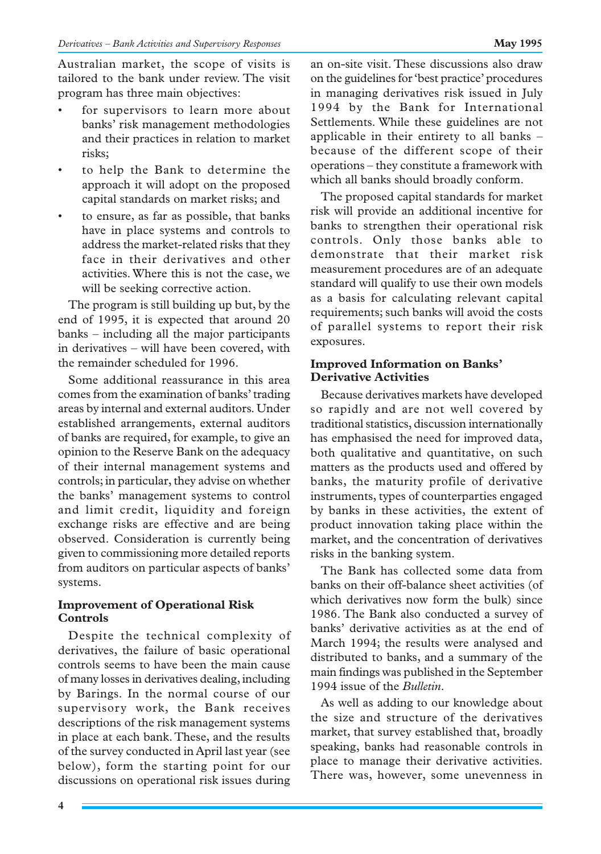Australian market, the scope of visits is tailored to the bank under review. The visit program has three main objectives:

- for supervisors to learn more about banks' risk management methodologies and their practices in relation to market risks;
- to help the Bank to determine the approach it will adopt on the proposed capital standards on market risks; and
- to ensure, as far as possible, that banks have in place systems and controls to address the market-related risks that they face in their derivatives and other activities. Where this is not the case, we will be seeking corrective action.

The program is still building up but, by the end of 1995, it is expected that around 20 banks – including all the major participants in derivatives – will have been covered, with the remainder scheduled for 1996.

Some additional reassurance in this area comes from the examination of banks' trading areas by internal and external auditors. Under established arrangements, external auditors of banks are required, for example, to give an opinion to the Reserve Bank on the adequacy of their internal management systems and controls; in particular, they advise on whether the banks' management systems to control and limit credit, liquidity and foreign exchange risks are effective and are being observed. Consideration is currently being given to commissioning more detailed reports from auditors on particular aspects of banks' systems.

#### **Improvement of Operational Risk Controls**

Despite the technical complexity of derivatives, the failure of basic operational controls seems to have been the main cause of many losses in derivatives dealing, including by Barings. In the normal course of our supervisory work, the Bank receives descriptions of the risk management systems in place at each bank. These, and the results of the survey conducted in April last year (see below), form the starting point for our discussions on operational risk issues during an on-site visit. These discussions also draw on the guidelines for 'best practice' procedures in managing derivatives risk issued in July 1994 by the Bank for International Settlements. While these guidelines are not applicable in their entirety to all banks – because of the different scope of their operations – they constitute a framework with which all banks should broadly conform.

The proposed capital standards for market risk will provide an additional incentive for banks to strengthen their operational risk controls. Only those banks able to demonstrate that their market risk measurement procedures are of an adequate standard will qualify to use their own models as a basis for calculating relevant capital requirements; such banks will avoid the costs of parallel systems to report their risk exposures.

### **Improved Information on Banks' Derivative Activities**

Because derivatives markets have developed so rapidly and are not well covered by traditional statistics, discussion internationally has emphasised the need for improved data, both qualitative and quantitative, on such matters as the products used and offered by banks, the maturity profile of derivative instruments, types of counterparties engaged by banks in these activities, the extent of product innovation taking place within the market, and the concentration of derivatives risks in the banking system.

The Bank has collected some data from banks on their off-balance sheet activities (of which derivatives now form the bulk) since 1986. The Bank also conducted a survey of banks' derivative activities as at the end of March 1994; the results were analysed and distributed to banks, and a summary of the main findings was published in the September 1994 issue of the *Bulletin*.

As well as adding to our knowledge about the size and structure of the derivatives market, that survey established that, broadly speaking, banks had reasonable controls in place to manage their derivative activities. There was, however, some unevenness in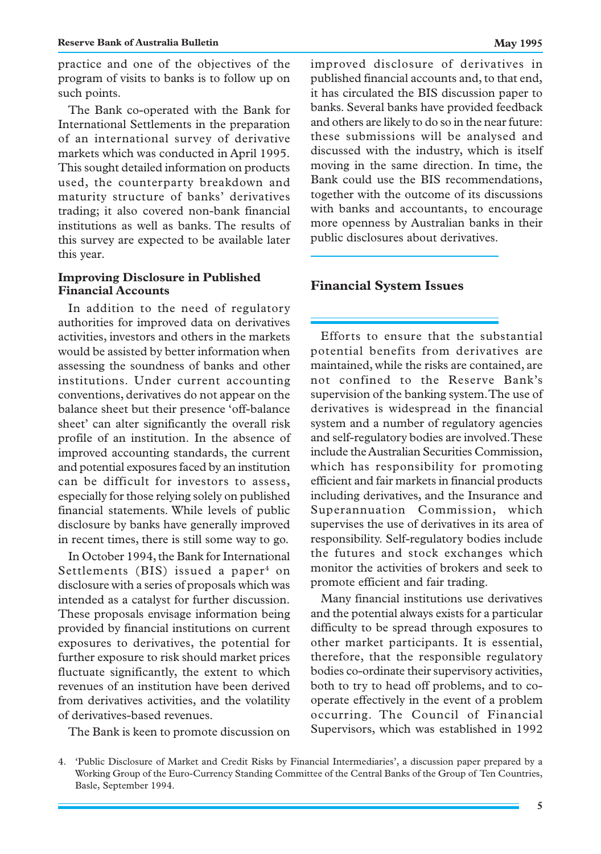The Bank co-operated with the Bank for International Settlements in the preparation of an international survey of derivative markets which was conducted in April 1995. This sought detailed information on products used, the counterparty breakdown and maturity structure of banks' derivatives trading; it also covered non-bank financial institutions as well as banks. The results of this survey are expected to be available later this year.

#### **Improving Disclosure in Published Financial Accounts**

In addition to the need of regulatory authorities for improved data on derivatives activities, investors and others in the markets would be assisted by better information when assessing the soundness of banks and other institutions. Under current accounting conventions, derivatives do not appear on the balance sheet but their presence 'off-balance sheet' can alter significantly the overall risk profile of an institution. In the absence of improved accounting standards, the current and potential exposures faced by an institution can be difficult for investors to assess, especially for those relying solely on published financial statements. While levels of public disclosure by banks have generally improved in recent times, there is still some way to go.

In October 1994, the Bank for International Settlements (BIS) issued a paper $4$  on disclosure with a series of proposals which was intended as a catalyst for further discussion. These proposals envisage information being provided by financial institutions on current exposures to derivatives, the potential for further exposure to risk should market prices fluctuate significantly, the extent to which revenues of an institution have been derived from derivatives activities, and the volatility of derivatives-based revenues.

The Bank is keen to promote discussion on

improved disclosure of derivatives in published financial accounts and, to that end, it has circulated the BIS discussion paper to banks. Several banks have provided feedback and others are likely to do so in the near future: these submissions will be analysed and discussed with the industry, which is itself moving in the same direction. In time, the Bank could use the BIS recommendations, together with the outcome of its discussions with banks and accountants, to encourage more openness by Australian banks in their public disclosures about derivatives.

### **Financial System Issues**

Efforts to ensure that the substantial potential benefits from derivatives are maintained, while the risks are contained, are not confined to the Reserve Bank's supervision of the banking system. The use of derivatives is widespread in the financial system and a number of regulatory agencies and self-regulatory bodies are involved. These include the Australian Securities Commission, which has responsibility for promoting efficient and fair markets in financial products including derivatives, and the Insurance and Superannuation Commission, which supervises the use of derivatives in its area of responsibility. Self-regulatory bodies include the futures and stock exchanges which monitor the activities of brokers and seek to promote efficient and fair trading.

Many financial institutions use derivatives and the potential always exists for a particular difficulty to be spread through exposures to other market participants. It is essential, therefore, that the responsible regulatory bodies co-ordinate their supervisory activities, both to try to head off problems, and to cooperate effectively in the event of a problem occurring. The Council of Financial Supervisors, which was established in 1992

<sup>4. &#</sup>x27;Public Disclosure of Market and Credit Risks by Financial Intermediaries', a discussion paper prepared by a Working Group of the Euro-Currency Standing Committee of the Central Banks of the Group of Ten Countries, Basle, September 1994.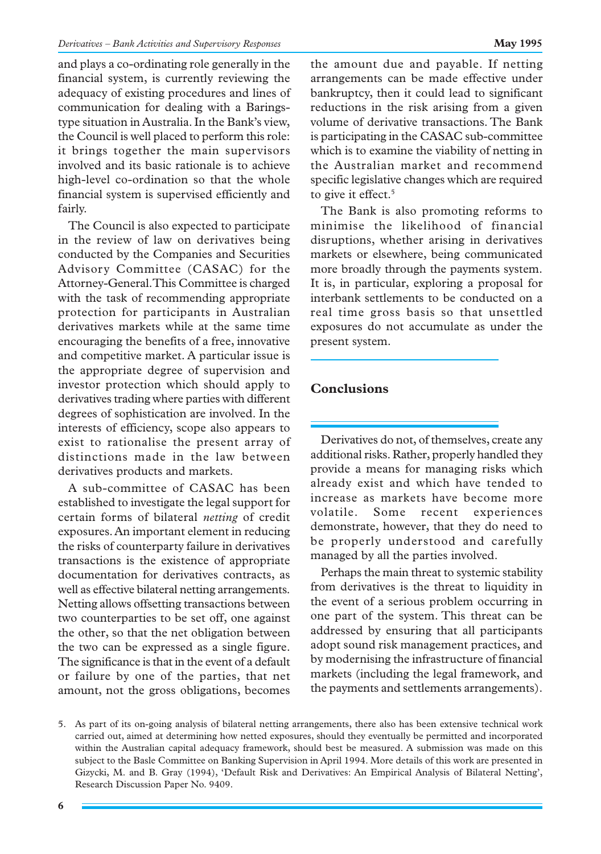and plays a co-ordinating role generally in the financial system, is currently reviewing the adequacy of existing procedures and lines of communication for dealing with a Baringstype situation in Australia. In the Bank's view, the Council is well placed to perform this role: it brings together the main supervisors involved and its basic rationale is to achieve high-level co-ordination so that the whole financial system is supervised efficiently and fairly.

The Council is also expected to participate in the review of law on derivatives being conducted by the Companies and Securities Advisory Committee (CASAC) for the Attorney-General. This Committee is charged with the task of recommending appropriate protection for participants in Australian derivatives markets while at the same time encouraging the benefits of a free, innovative and competitive market. A particular issue is the appropriate degree of supervision and investor protection which should apply to derivatives trading where parties with different degrees of sophistication are involved. In the interests of efficiency, scope also appears to exist to rationalise the present array of distinctions made in the law between derivatives products and markets.

A sub-committee of CASAC has been established to investigate the legal support for certain forms of bilateral *netting* of credit exposures. An important element in reducing the risks of counterparty failure in derivatives transactions is the existence of appropriate documentation for derivatives contracts, as well as effective bilateral netting arrangements. Netting allows offsetting transactions between two counterparties to be set off, one against the other, so that the net obligation between the two can be expressed as a single figure. The significance is that in the event of a default or failure by one of the parties, that net amount, not the gross obligations, becomes the amount due and payable. If netting arrangements can be made effective under bankruptcy, then it could lead to significant reductions in the risk arising from a given volume of derivative transactions. The Bank is participating in the CASAC sub-committee which is to examine the viability of netting in the Australian market and recommend specific legislative changes which are required to give it effect.<sup>5</sup>

The Bank is also promoting reforms to minimise the likelihood of financial disruptions, whether arising in derivatives markets or elsewhere, being communicated more broadly through the payments system. It is, in particular, exploring a proposal for interbank settlements to be conducted on a real time gross basis so that unsettled exposures do not accumulate as under the present system.

## **Conclusions**

Derivatives do not, of themselves, create any additional risks. Rather, properly handled they provide a means for managing risks which already exist and which have tended to increase as markets have become more volatile. Some recent experiences demonstrate, however, that they do need to be properly understood and carefully managed by all the parties involved.

Perhaps the main threat to systemic stability from derivatives is the threat to liquidity in the event of a serious problem occurring in one part of the system. This threat can be addressed by ensuring that all participants adopt sound risk management practices, and by modernising the infrastructure of financial markets (including the legal framework, and the payments and settlements arrangements).

<sup>5.</sup> As part of its on-going analysis of bilateral netting arrangements, there also has been extensive technical work carried out, aimed at determining how netted exposures, should they eventually be permitted and incorporated within the Australian capital adequacy framework, should best be measured. A submission was made on this subject to the Basle Committee on Banking Supervision in April 1994. More details of this work are presented in Gizycki, M. and B. Gray (1994), 'Default Risk and Derivatives: An Empirical Analysis of Bilateral Netting', Research Discussion Paper No. 9409.